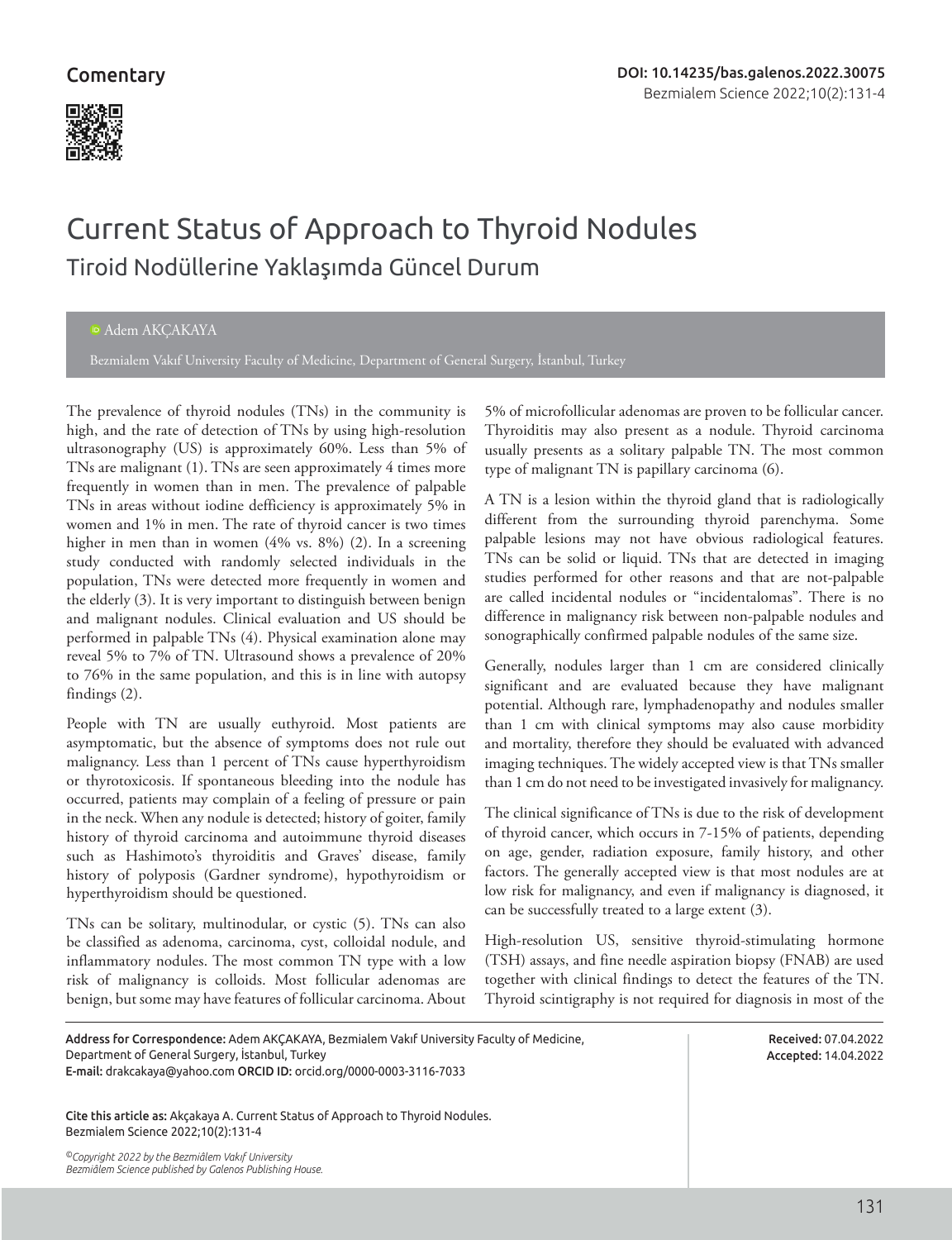## **Comentary**



# Current Status of Approach to Thyroid Nodules Tiroid Nodüllerine Yaklaşımda Güncel Durum

#### Adem AKÇAKAYA

Bezmialem Vakıf University Faculty of Medicine, Department of General Surgery, İstanbul, Turkey

The prevalence of thyroid nodules (TNs) in the community is high, and the rate of detection of TNs by using high-resolution ultrasonography (US) is approximately 60%. Less than 5% of TNs are malignant (1). TNs are seen approximately 4 times more frequently in women than in men. The prevalence of palpable TNs in areas without iodine defficiency is approximately 5% in women and 1% in men. The rate of thyroid cancer is two times higher in men than in women (4% vs. 8%) (2). In a screening study conducted with randomly selected individuals in the population, TNs were detected more frequently in women and the elderly (3). It is very important to distinguish between benign and malignant nodules. Clinical evaluation and US should be performed in palpable TNs (4). Physical examination alone may reveal 5% to 7% of TN. Ultrasound shows a prevalence of 20% to 76% in the same population, and this is in line with autopsy findings (2).

People with TN are usually euthyroid. Most patients are asymptomatic, but the absence of symptoms does not rule out malignancy. Less than 1 percent of TNs cause hyperthyroidism or thyrotoxicosis. If spontaneous bleeding into the nodule has occurred, patients may complain of a feeling of pressure or pain in the neck. When any nodule is detected; history of goiter, family history of thyroid carcinoma and autoimmune thyroid diseases such as Hashimoto's thyroiditis and Graves' disease, family history of polyposis (Gardner syndrome), hypothyroidism or hyperthyroidism should be questioned.

TNs can be solitary, multinodular, or cystic (5). TNs can also be classified as adenoma, carcinoma, cyst, colloidal nodule, and inflammatory nodules. The most common TN type with a low risk of malignancy is colloids. Most follicular adenomas are benign, but some may have features of follicular carcinoma. About 5% of microfollicular adenomas are proven to be follicular cancer. Thyroiditis may also present as a nodule. Thyroid carcinoma usually presents as a solitary palpable TN. The most common type of malignant TN is papillary carcinoma (6).

A TN is a lesion within the thyroid gland that is radiologically different from the surrounding thyroid parenchyma. Some palpable lesions may not have obvious radiological features. TNs can be solid or liquid. TNs that are detected in imaging studies performed for other reasons and that are not-palpable are called incidental nodules or "incidentalomas". There is no difference in malignancy risk between non-palpable nodules and sonographically confirmed palpable nodules of the same size.

Generally, nodules larger than 1 cm are considered clinically significant and are evaluated because they have malignant potential. Although rare, lymphadenopathy and nodules smaller than 1 cm with clinical symptoms may also cause morbidity and mortality, therefore they should be evaluated with advanced imaging techniques. The widely accepted view is that TNs smaller than 1 cm do not need to be investigated invasively for malignancy.

The clinical significance of TNs is due to the risk of development of thyroid cancer, which occurs in 7-15% of patients, depending on age, gender, radiation exposure, family history, and other factors. The generally accepted view is that most nodules are at low risk for malignancy, and even if malignancy is diagnosed, it can be successfully treated to a large extent (3).

High-resolution US, sensitive thyroid-stimulating hormone (TSH) assays, and fine needle aspiration biopsy (FNAB) are used together with clinical findings to detect the features of the TN. Thyroid scintigraphy is not required for diagnosis in most of the

Address for Correspondence: Adem AKÇAKAYA, Bezmialem Vakıf University Faculty of Medicine, Department of General Surgery, İstanbul, Turkey E-mail: drakcakaya@yahoo.com ORCID ID: orcid.org/0000-0003-3116-7033

Cite this article as: Akçakaya A. Current Status of Approach to Thyroid Nodules. Bezmialem Science 2022;10(2):131-4

*©Copyright 2022 by the Bezmiâlem Vakıf University Bezmiâlem Science published by Galenos Publishing House.*

Received: 07.04.2022 Accepted: 14.04.2022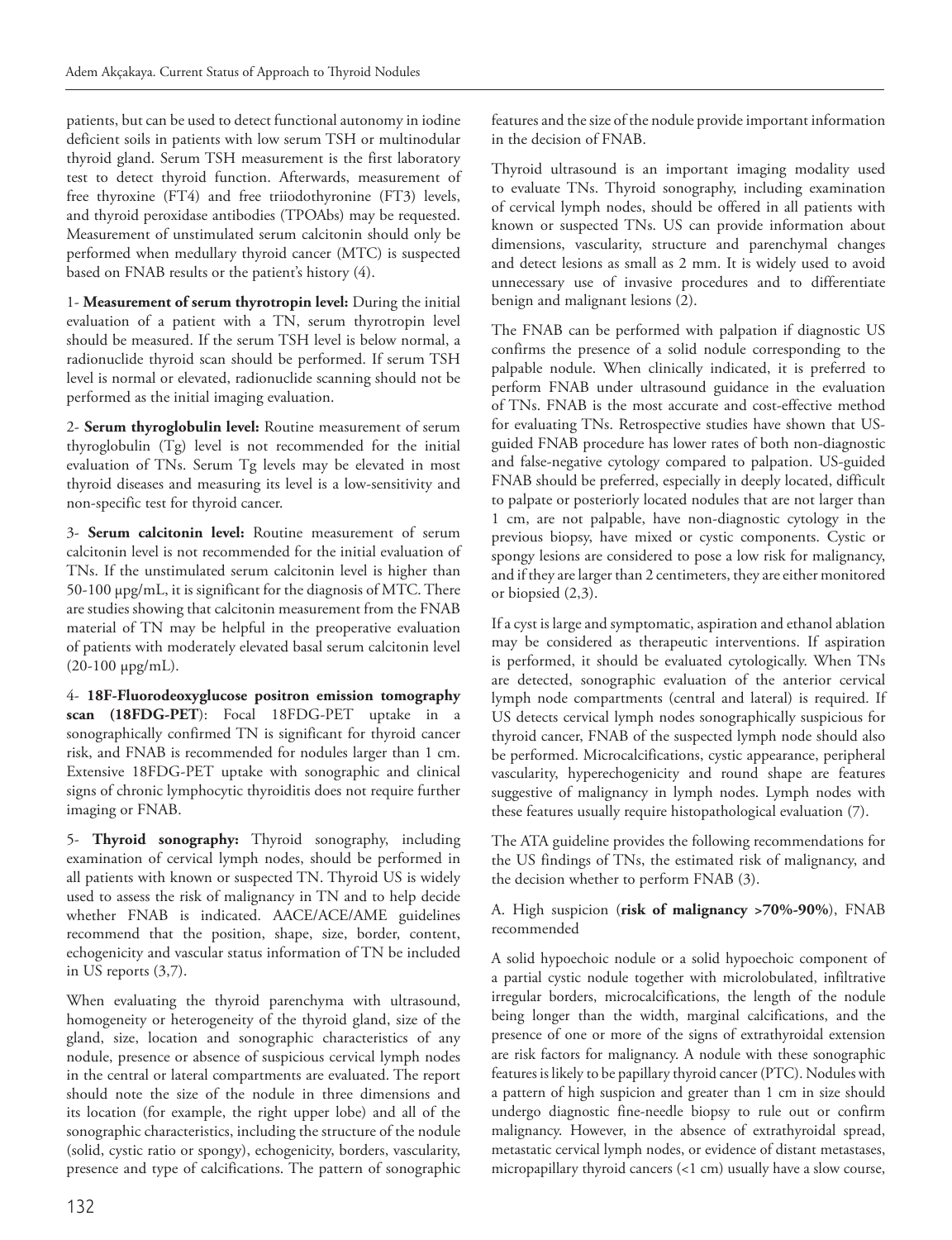patients, but can be used to detect functional autonomy in iodine deficient soils in patients with low serum TSH or multinodular thyroid gland. Serum TSH measurement is the first laboratory test to detect thyroid function. Afterwards, measurement of free thyroxine (FT4) and free triiodothyronine (FT3) levels, and thyroid peroxidase antibodies (TPOAbs) may be requested. Measurement of unstimulated serum calcitonin should only be performed when medullary thyroid cancer (MTC) is suspected based on FNAB results or the patient's history (4).

1- **Measurement of serum thyrotropin level:** During the initial evaluation of a patient with a TN, serum thyrotropin level should be measured. If the serum TSH level is below normal, a radionuclide thyroid scan should be performed. If serum TSH level is normal or elevated, radionuclide scanning should not be performed as the initial imaging evaluation.

2- **Serum thyroglobulin level:** Routine measurement of serum thyroglobulin (Tg) level is not recommended for the initial evaluation of TNs. Serum Tg levels may be elevated in most thyroid diseases and measuring its level is a low-sensitivity and non-specific test for thyroid cancer.

3- **Serum calcitonin level:** Routine measurement of serum calcitonin level is not recommended for the initial evaluation of TNs. If the unstimulated serum calcitonin level is higher than 50-100 µpg/mL, it is significant for the diagnosis of MTC. There are studies showing that calcitonin measurement from the FNAB material of TN may be helpful in the preoperative evaluation of patients with moderately elevated basal serum calcitonin level (20-100 µpg/mL).

4- **18F-Fluorodeoxyglucose positron emission tomography scan (18FDG-PET**): Focal 18FDG-PET uptake in a sonographically confirmed TN is significant for thyroid cancer risk, and FNAB is recommended for nodules larger than 1 cm. Extensive 18FDG-PET uptake with sonographic and clinical signs of chronic lymphocytic thyroiditis does not require further imaging or FNAB.

5- **Thyroid sonography:** Thyroid sonography, including examination of cervical lymph nodes, should be performed in all patients with known or suspected TN. Thyroid US is widely used to assess the risk of malignancy in TN and to help decide whether FNAB is indicated. AACE/ACE/AME guidelines recommend that the position, shape, size, border, content, echogenicity and vascular status information of TN be included in US reports (3,7).

When evaluating the thyroid parenchyma with ultrasound, homogeneity or heterogeneity of the thyroid gland, size of the gland, size, location and sonographic characteristics of any nodule, presence or absence of suspicious cervical lymph nodes in the central or lateral compartments are evaluated. The report should note the size of the nodule in three dimensions and its location (for example, the right upper lobe) and all of the sonographic characteristics, including the structure of the nodule (solid, cystic ratio or spongy), echogenicity, borders, vascularity, presence and type of calcifications. The pattern of sonographic

features and the size of the nodule provide important information in the decision of FNAB.

Thyroid ultrasound is an important imaging modality used to evaluate TNs. Thyroid sonography, including examination of cervical lymph nodes, should be offered in all patients with known or suspected TNs. US can provide information about dimensions, vascularity, structure and parenchymal changes and detect lesions as small as 2 mm. It is widely used to avoid unnecessary use of invasive procedures and to differentiate benign and malignant lesions (2).

The FNAB can be performed with palpation if diagnostic US confirms the presence of a solid nodule corresponding to the palpable nodule. When clinically indicated, it is preferred to perform FNAB under ultrasound guidance in the evaluation of TNs. FNAB is the most accurate and cost-effective method for evaluating TNs. Retrospective studies have shown that USguided FNAB procedure has lower rates of both non-diagnostic and false-negative cytology compared to palpation. US-guided FNAB should be preferred, especially in deeply located, difficult to palpate or posteriorly located nodules that are not larger than 1 cm, are not palpable, have non-diagnostic cytology in the previous biopsy, have mixed or cystic components. Cystic or spongy lesions are considered to pose a low risk for malignancy, and if they are larger than 2 centimeters, they are either monitored or biopsied (2,3).

If a cyst is large and symptomatic, aspiration and ethanol ablation may be considered as therapeutic interventions. If aspiration is performed, it should be evaluated cytologically. When TNs are detected, sonographic evaluation of the anterior cervical lymph node compartments (central and lateral) is required. If US detects cervical lymph nodes sonographically suspicious for thyroid cancer, FNAB of the suspected lymph node should also be performed. Microcalcifications, cystic appearance, peripheral vascularity, hyperechogenicity and round shape are features suggestive of malignancy in lymph nodes. Lymph nodes with these features usually require histopathological evaluation (7).

The ATA guideline provides the following recommendations for the US findings of TNs, the estimated risk of malignancy, and the decision whether to perform FNAB (3).

#### A. High suspicion (**risk of malignancy >70%-90%**), FNAB recommended

A solid hypoechoic nodule or a solid hypoechoic component of a partial cystic nodule together with microlobulated, infiltrative irregular borders, microcalcifications, the length of the nodule being longer than the width, marginal calcifications, and the presence of one or more of the signs of extrathyroidal extension are risk factors for malignancy. A nodule with these sonographic features is likely to be papillary thyroid cancer (PTC). Nodules with a pattern of high suspicion and greater than 1 cm in size should undergo diagnostic fine-needle biopsy to rule out or confirm malignancy. However, in the absence of extrathyroidal spread, metastatic cervical lymph nodes, or evidence of distant metastases, micropapillary thyroid cancers (<1 cm) usually have a slow course,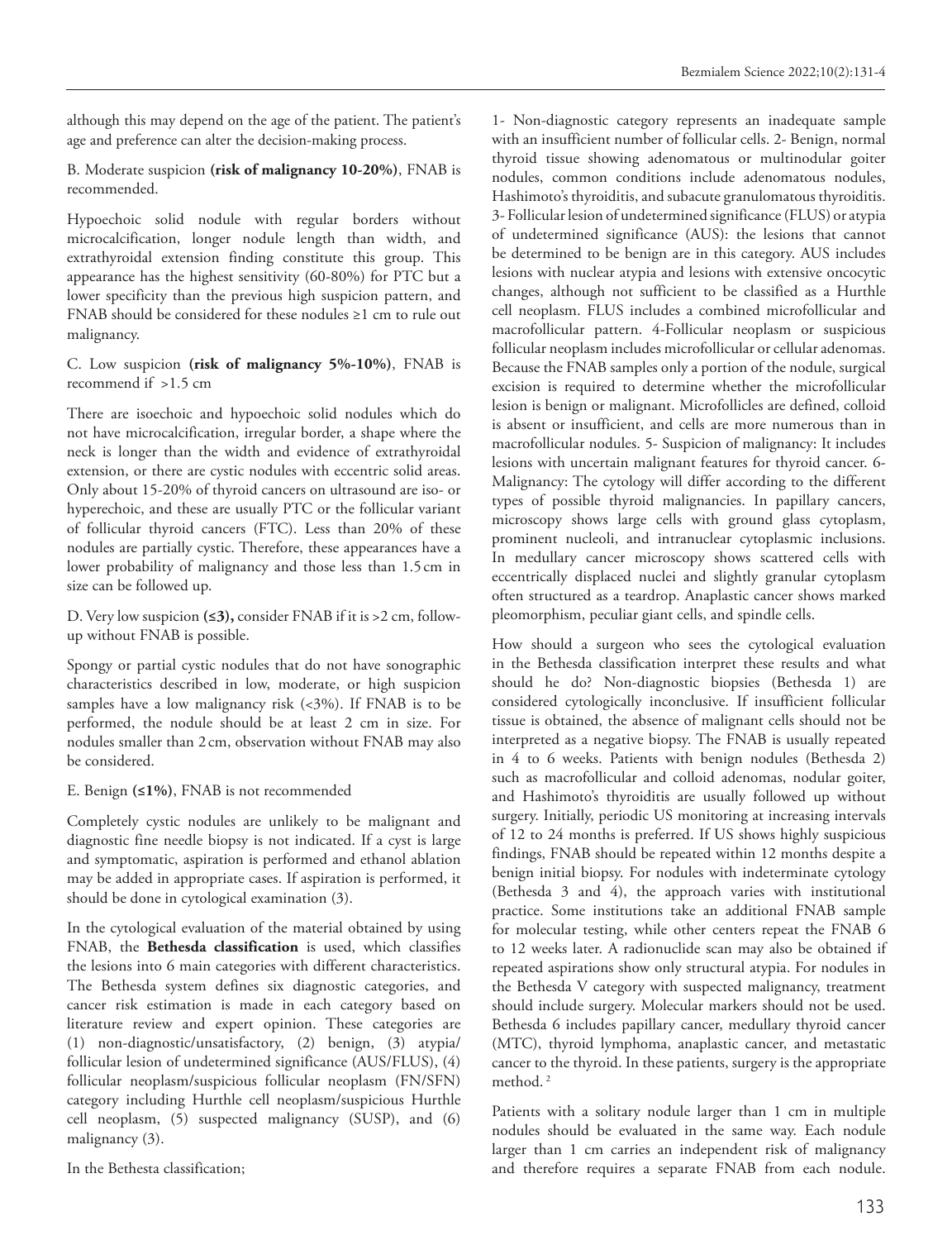although this may depend on the age of the patient. The patient's age and preference can alter the decision-making process.

#### B. Moderate suspicion **(risk of malignancy 10-20%)**, FNAB is recommended.

Hypoechoic solid nodule with regular borders without microcalcification, longer nodule length than width, and extrathyroidal extension finding constitute this group. This appearance has the highest sensitivity (60-80%) for PTC but a lower specificity than the previous high suspicion pattern, and FNAB should be considered for these nodules ≥1 cm to rule out malignancy.

#### C. Low suspicion **(risk of malignancy 5%-10%)**, FNAB is recommend if >1.5 cm

There are isoechoic and hypoechoic solid nodules which do not have microcalcification, irregular border, a shape where the neck is longer than the width and evidence of extrathyroidal extension, or there are cystic nodules with eccentric solid areas. Only about 15-20% of thyroid cancers on ultrasound are iso- or hyperechoic, and these are usually PTC or the follicular variant of follicular thyroid cancers (FTC). Less than 20% of these nodules are partially cystic. Therefore, these appearances have a lower probability of malignancy and those less than 1.5cm in size can be followed up.

D. Very low suspicion **(≤3),** consider FNAB if it is >2 cm, followup without FNAB is possible.

Spongy or partial cystic nodules that do not have sonographic characteristics described in low, moderate, or high suspicion samples have a low malignancy risk (<3%). If FNAB is to be performed, the nodule should be at least 2 cm in size. For nodules smaller than 2cm, observation without FNAB may also be considered.

E. Benign **(≤1%)**, FNAB is not recommended

Completely cystic nodules are unlikely to be malignant and diagnostic fine needle biopsy is not indicated. If a cyst is large and symptomatic, aspiration is performed and ethanol ablation may be added in appropriate cases. If aspiration is performed, it should be done in cytological examination (3).

In the cytological evaluation of the material obtained by using FNAB, the **Bethesda classification** is used, which classifies the lesions into 6 main categories with different characteristics. The Bethesda system defines six diagnostic categories, and cancer risk estimation is made in each category based on literature review and expert opinion. These categories are (1) non-diagnostic/unsatisfactory, (2) benign, (3) atypia/ follicular lesion of undetermined significance (AUS/FLUS), (4) follicular neoplasm/suspicious follicular neoplasm (FN/SFN) category including Hurthle cell neoplasm/suspicious Hurthle cell neoplasm, (5) suspected malignancy (SUSP), and (6) malignancy (3).

In the Bethesta classification;

1- Non-diagnostic category represents an inadequate sample with an insufficient number of follicular cells. 2- Benign, normal thyroid tissue showing adenomatous or multinodular goiter nodules, common conditions include adenomatous nodules, Hashimoto's thyroiditis, and subacute granulomatous thyroiditis. 3- Follicular lesion of undetermined significance (FLUS) or atypia of undetermined significance (AUS): the lesions that cannot be determined to be benign are in this category. AUS includes lesions with nuclear atypia and lesions with extensive oncocytic changes, although not sufficient to be classified as a Hurthle cell neoplasm. FLUS includes a combined microfollicular and macrofollicular pattern. 4-Follicular neoplasm or suspicious follicular neoplasm includes microfollicular or cellular adenomas. Because the FNAB samples only a portion of the nodule, surgical excision is required to determine whether the microfollicular lesion is benign or malignant. Microfollicles are defined, colloid is absent or insufficient, and cells are more numerous than in macrofollicular nodules. 5- Suspicion of malignancy: It includes lesions with uncertain malignant features for thyroid cancer. 6- Malignancy: The cytology will differ according to the different types of possible thyroid malignancies. In papillary cancers, microscopy shows large cells with ground glass cytoplasm, prominent nucleoli, and intranuclear cytoplasmic inclusions. In medullary cancer microscopy shows scattered cells with eccentrically displaced nuclei and slightly granular cytoplasm often structured as a teardrop. Anaplastic cancer shows marked pleomorphism, peculiar giant cells, and spindle cells.

How should a surgeon who sees the cytological evaluation in the Bethesda classification interpret these results and what should he do? Non-diagnostic biopsies (Bethesda 1) are considered cytologically inconclusive. If insufficient follicular tissue is obtained, the absence of malignant cells should not be interpreted as a negative biopsy. The FNAB is usually repeated in 4 to 6 weeks. Patients with benign nodules (Bethesda 2) such as macrofollicular and colloid adenomas, nodular goiter, and Hashimoto's thyroiditis are usually followed up without surgery. Initially, periodic US monitoring at increasing intervals of 12 to 24 months is preferred. If US shows highly suspicious findings, FNAB should be repeated within 12 months despite a benign initial biopsy. For nodules with indeterminate cytology (Bethesda 3 and 4), the approach varies with institutional practice. Some institutions take an additional FNAB sample for molecular testing, while other centers repeat the FNAB 6 to 12 weeks later. A radionuclide scan may also be obtained if repeated aspirations show only structural atypia. For nodules in the Bethesda V category with suspected malignancy, treatment should include surgery. Molecular markers should not be used. Bethesda 6 includes papillary cancer, medullary thyroid cancer (MTC), thyroid lymphoma, anaplastic cancer, and metastatic cancer to the thyroid. In these patients, surgery is the appropriate method.<sup>2</sup>

Patients with a solitary nodule larger than 1 cm in multiple nodules should be evaluated in the same way. Each nodule larger than 1 cm carries an independent risk of malignancy and therefore requires a separate FNAB from each nodule.